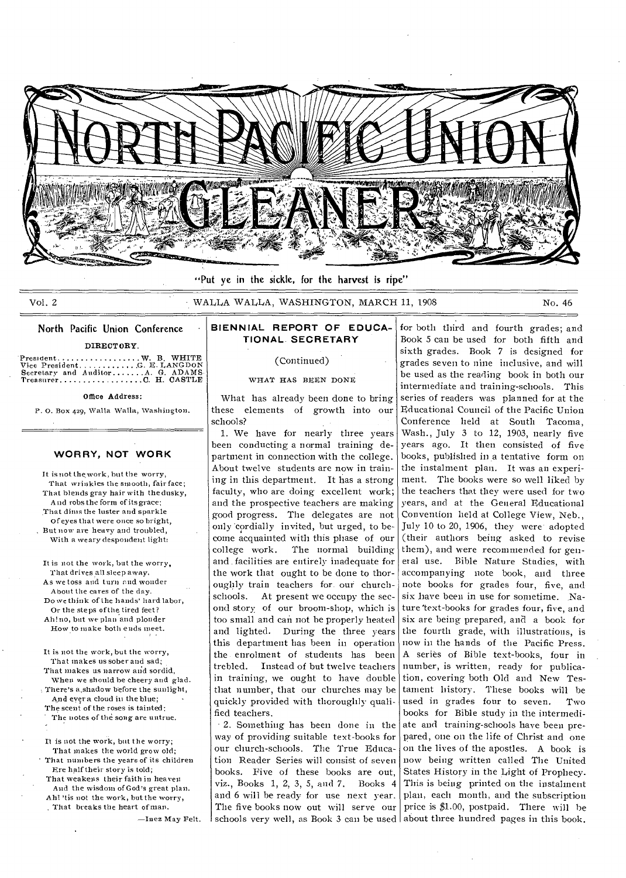

"Put ye in the sickle, for the harvest is ripe"

Vol. 2 6 - WALLA WALLA, WASHINGTON, MARCH 11, 1908 No. 46

# North Pacific Union Conference

#### DIRECTORY

Presment W. B. WHITE Vice President G. E. I,ANGDON Secretary and Auditor A G. ADAMS Treasurer C H. CASTLE

#### Office Address:

P. 0. Box 429, Walla Walla, Washington.

### **WORRY, NOT WORK**

It is not the work, but the worry, That wrinkles the smooth, fair face; That blends gray hair with the dusky, And robs the form of itsgrace; That dims the luster and sparkle Of eyes that were once so bright, But now are heavy and troubled, With a weary despondent light:

It is not the work, but the worry, That drives all sleep away. As we toss and turn end wonder About the cares of the day. Do we think of the hands' hard labor, Or the steps of the tired feet? Ah! no, but we plan and plonder How to make both ends meet.

It is not the work, but the worry, That makes us sober and sad; That makes us narrow and sordid. When we should be cheery and glad. There's a shadow before the sunlight. And ever a cloud in the blue; The scent of the roses is tainted; The notes of the song are untrue.

It is not the work, but the worry; That makes the world grow old: That numbers the years of its children Ere half their story is told; That weakens their faith in heaven And the wisdom of God's great plan. Ah! 'tis not the work, but the worry, . That breaks the heart of man.

—Iuez May Felt.

## **BIENNIAL REPORT OF EDUCA-TIONAL. SECRETARY**

# (Continued)

## WHAT HAS BEEN DONE

What has already been done to bring these elements of growth into our schools?

1. We have for nearly three years been conducting a normal training department in connection with the college. About twelve students are now in training in this department. It has a strong faculty, who are doing excellent work; and the prospective teachers are making good progress. The delegates are not only 'cordially invited, but urged, to become acquainted with this phase of our college work. The normal building and facilities are entirely inadequate for the work that ought to be done to thoroughly train teachers for our churchschools. At present we occupy the second story of our broom-shop, which is too small and can not he properly heated and lighted. During the three years this department has been in operation the enrolment of students has been trebled. Instead of but twelve teachers in training, we ought to have double that number, that our churches may be quickly provided with thoroughly qualified teachers.

• 2. Something has been done in the way of providing suitable text-books for our church-schools. The True Education Reader Series will consist of seven books. Five of these books are out, viz., Books 1, 2, 3, 5, and 7. Books 4 and 6 will be ready for use next year. The five books now out will serve our

schools very well, as Book 3 can be used about three hundred pages in this book. for both third and fourth grades; and Book 5 can be used for both fifth and sixth grades. Book 7 is designed for grades seven to nine inclusive, and will be used as the reading book in both our intermediate and training-schools. This series of readers was planned for at the Educational Council of the Pacific Union Conference held at South Tacoma, Wash., July 3 to 12, 1903, nearly five years ago. It then consisted of five books, published in a tentative form on the instalment plan. It was an experiment. The books were so well liked by the teachers that they were used for two years, and at the General Educational Convention held at College View, Neb., July 10 to 20, 1906, they were adopted (their authors being asked to revise them), and were recommended for general use. Bible Nature Studies, with accompanying note book, and three note books for grades four, five, and six have been in use for sometime. Nature 'text-books for grades four, five, and six are being prepared, and a book for the fourth grade, with illustrations, is now in the hands of the Pacific Press. A series of Bible text-books, four in number, is written, ready for publication, covering both Old and New Testament history. These books will be used in grades four to seven. Two hooks for Bible study in the intermediate and training-schools have been prepared, one on the life of Christ and one on the lives of the apostles. A book is now being written called The United States History in the Light of Prophecy. This is being printed on the instalment plan, each month, and the subscription price is \$1.00, postpaid. There will be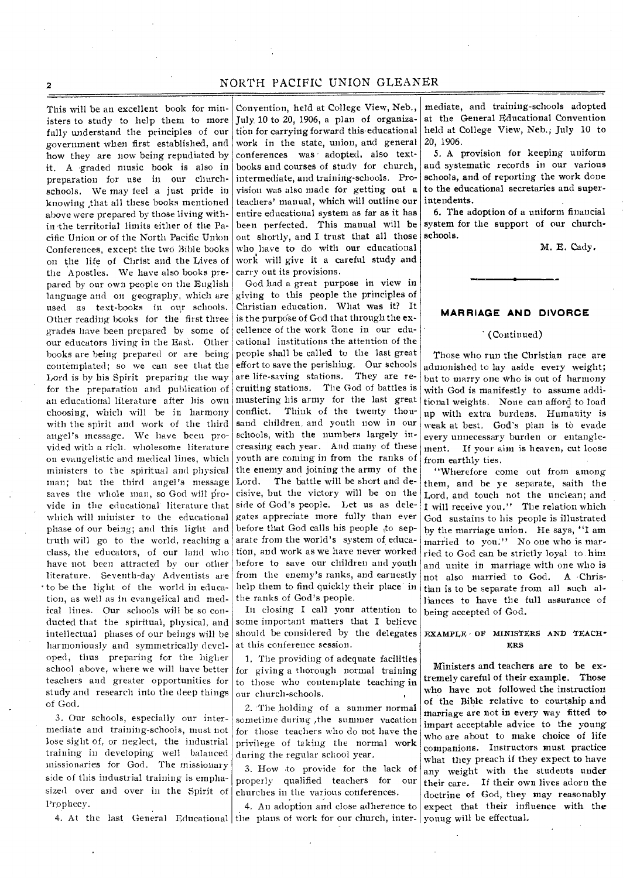This will be an excellent book for ministers to study to help them to more fully understand the principles of our government when first established, and how they are now being repudiated by it. A graded music book is also in preparation for use in our churchschools. We may feel a just pride in knowing ;that all these books mentioned above were prepared by those living within the territorial limits either of the Pacific Union or of the North Pacific Union Conferences, except the two Bible books on the life of Christ and the Lives of the Apostles. We have also books prepared by our own people on the English language and on geography, which are used as text-books in our schools. Other reading books for the first three grades have been prepared by some of our educators living in the East. Other books are being prepared or are being contemplated; so we can see that the Lord is by his Spirit preparing the way for the preparation and publication of an educational literature after his own choosing, which will be in harmony with the spirit and work of the third angel's message. We have been provided with a rich, wholesome literature on evangelistic and medical lines, which ministers to the spiritual and physical man; but the third angel's message saves the whole man, so God will provide in the educational literature that which will minister to the educational phase of our being; and this light and truth will go to the world, reaching a class, the educators, of our land who have not been attracted by our other literature. Seventh-day Adventists are • to be the light of the world in education, as well as in evangelical and medical lines. Our schools will be so conducted that the spiritual, physical, and intellectual phases of our beings will be harmoniously and symmetrically developed, thus preparing for the higher school above, where we will have better teachers and greater opportunities for study and research into the deep things of God.

3. Our schools, especially our intermediate and training-schools, must not lose sight of, or neglect, the industrial training in developing well balanced missionaries for God. The missionary side of this industrial training is emphasized over and over in the Spirit of Prophecy.

Convention, held at College View, Neb., July 10 to 20, 1906, a plan of organization for carrying forward this educational work in the state, union, and general conferences was • adopted, also textbooks and courses of study for church, intermediate, and training-schools. Provision was also made for getting out a teachers' manual, which will outline our entire educational system as far as it has been perfected. This manual will be out shortly, and I trust that all those who have to do with our educational work will give it a careful study and carry out its provisions.

God had a great purpose in view in giving to this people the principles of Christian education. What was it? It is the purpose of God that through the excellence of the work done in our educational institutions the attention of the people shall be called to the last great effort to save the perishing. Our schools are life-saving stations. They are recruiting stations. The God of battles is mustering his army for the last great conflict. Think of the twenty thousand children, and youth now in our schools, with the numbers largely increasing each year. And many of these youtb are coming in from the ranks of the enemy and joining the army of the Lord. The battle will be short and decisive, but the victory will be on the side of God's people. Let us as delegates appreciate more fully than ever before that God calls his people to separate from the world's system of education, and work as we have never worked before to save our children and youth from the enemy's ranks, and earnestly help them to find quickly their place in the ranks of God's people.

In closing I call your attention to some important matters that I believe should be considered by the delegates at this conference session.

1. The providing of adequate facilities for giving a thorough normal training to those who contemplate teaching in our church-schools.

2. The holding of a summer normal sometime during ,the summer vacation for those teachers who do not have the privilege of taking the normal work during the regular school year.

3. How to provide for the lack of properly qualified teachers for our churches in the various conferences.

4. At the last General Educational the plans of work for our church, inter- young will be effectual. 4. An adoption and close adherence to

mediate, and training-schools adopted at the General Educational Convention held at College View, Neb., July 10 to 20, 1906.

5. A provision for keeping uniform and systematic records in our various schools, and of reporting the work done to the educational secretaries and superintendents.

6. The adoption of a uniform financial system for the support of our churchschools.

M. E. Cady.

#### **MARRIAGE AND DIVORCE**

## (Continued)

Those who run the Christian race are admonished to lay aside every weight; but to marry one Who is out of harmony with God is manifestly to assume additional weights. None can afford to load up with extra burdens. Humanity is weak at best. God's plan is to evade every unnecessary burden or entanglement. If your aim is heaven, cut loose from earthly ties.

"Wherefore come out from among them, and be ye separate, saith the Lord, and touch not the unclean; and I will receive you." The relation which God sustains to his people is illustrated by the marriage union. He says, "I am married to you." No one who is married to God can be strictly loyal to him and unite in marriage with one who is not also married to God. A -Christian is to be separate from all such alliances to have the full assurance of being accepted of God.

## EXAMPLE OP MINISTERS AND TEACH-ERS

Ministers and teachers are to be extremely careful of their example. Those who have not followed the instruction of the Bible relative to courtship and marriage are not in every way fitted to impart acceptable advice to the young who are about to make choice of life companions. Instructors must practice what they preach if they expect to have any weight with the students under their care. If their own lives adorn the doctrine of God, they may reasonably expect that their influence with the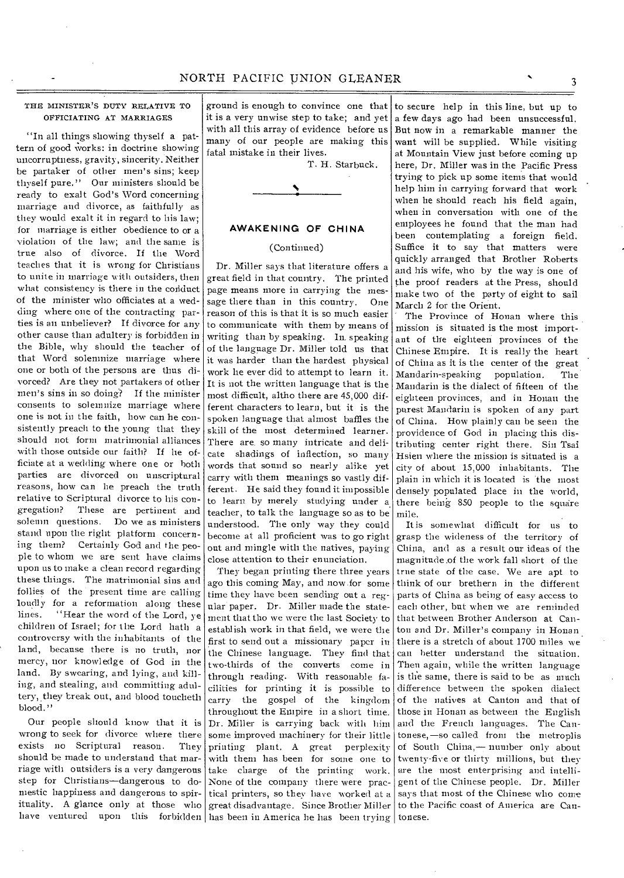## THE MINISTER'S DUTY RELATIVE TO OFFICIATING AT MARRIAGES

"In all things showing thyself a pattern of good works: in doctrine showing uncorruptness, gravity, sincerity. Neither be partaker of other men's sins; keep thyself pure." Our ministers should be ready to exalt God's Word concerning marriage and divorce, as faithfully as they would exalt it in regard to his law; for marriage is either obedience to or a violation of the law; and the same is true also of divorce. If the Word teaches that it is wrong for Christians to unite in marriage with outsiders, then what consistency is there in the conduct of the minister who officiates at a wedding where one of the contracting parties is an unbeliever? If divorce for any other cause than adultery is forbidden in the Bible, why should the teacher of that Word solemnize marriage where one or both of the persons are thus divorced? Are they not partakers of other men's sins in so doing? If the minister consents to solemnize marriage where one is not in the faith, how can he consistently preach to the young that they should not form matrimonial alliances with those outside our faith? If he officiate at a wedding where one or both parties are divorced on unscriptural reasons, how can he preach the truth relative to Scriptural divorce to his congregation? These are pertinent and solemn questions. Do we as ministers stand upon the right platform concerning them? Certainly God and the people to whom we are sent have claims upon us to make a clean record regarding these things. The matrimonial sins and follies of the present time are calling loudly for a reformation along these lines. "Hear the word of the Lord, ye children of Israel; for the Lord bath a controversy with the inhabitants of the land, because there is no truth, nor mercy, nor knowledge of God in the land. By swearing, and lying, and killing, and stealing, and committing adultery, they break out, and blood toucheth blood."

Our people should know that it is wrong to seek for divorce where there exists no Scriptural reason. They should be made to understand that marriage with outsiders is a very dangerous step for Christians—dangerous to domestic happiness and dangerous to spirituality. A glance only at those who have ventured upon this forbidden

ground is enough to convince one that it is a very unwise step to take; and yet with all this array of evidence before us many of our people are making this fatal mistake in their lives.

T. H. Starbuck.



## **AWAKENING OF CHINA**

## (Continued)

Dr. Miller says that literature offers a great field in that country. The printed page means more in carrying the message there than in this country. One reason of this is that it is so much easier to communicate with them by means of writing than by speaking. In. speaking of the language Dr. Miller told us that it was harder than the hardest physical work lie ever did to attempt to learn it. It is not the written language that is the most difficult, altho there are 45,000 different characters to learn, but it is the spoken language that almost baffles the skill of the most determined learner. There are. somany intricate and delicate shadings of inflection, so many words that sound so nearly alike yet carry with them meanings so vastly different. He said they found it impossible to learn by merely studying under a teacher, to talk the language so as to be understood. The only way they could become at all proficient was to go right out and mingle with the natives, paying close attention to their enunciation.

They began printing there three years ago this coming May, and now.for some time they have been sending out a regular paper. Dr. Miller made the statement that tho we were the last Society to establish work in that field, we were the first to send out a missionary paper in the Chinese language. They find that two-thirds of the converts come in through reading. With reasonable facilities for printing it is possible to carry the gospel of the kingdom throughout the Empire in a short time. Dr. Miller is carrying back with him some improved machinery for their little printing plant. A great perplexity with them has been for some one to take charge of the printing work. None of the company there were practical printers, so they have worked at a great disadvantage. Since Brother Miller has been in America he has been trying tonese.

to secure help in this line, but up to a few days ago had been unsuccessful. But now in a remarkable manner the want will be supplied. While visiting at Mountain View just before coming up here, Dr. Miller was in the Pacific Press trying to pick up some items that would help him in carrying forward that work when he should reach his field again, when in conversation with one of the employees he found that the man had been contemplating a foreign field. Suffice it to say that matters were quickly arranged that Brother Roberts and his wife, who by the way is one of the proof readers at the Press, should make two of the party of eight to sail March 2 for the Orient.

The Province of Honan where this mission is situated is the most important of the eighteen provinces of the Chinese Empire. It is really the heart of China as it is the center of the great Mandarin-speaking population. The Mandarin is the dialect of fifteen of the eighteen provinces, and in Honan the purest Mandarin is spoken of any part of China. How plainly can be seen the providence of God in placing this distributing-center right there. Sin Tsai Hsien where the mission is situated is a city of about 15,000 inhabitants. The plain in which it is located is the most densely populated place in the world, there being 850 people to the square mile.

It is somewhat difficult for us to grasp the wideness of the territory of China, and as a result our ideas of the magnitude .of the work fall short of the true state of the case. We are apt to think of our brethern in the different parts of China as being of easy access to each other, but when we are reminded that between Brother Anderson at Canton and Dr. Miller's company in Honan there is a stretch of about 1700 miles we can better understand the situation. Then again, while the written language is the same, there is said to be as much difference between the spoken dialect of the natives at Canton and that of those in Honan as between the English and the French languages. The Cantonese,—so called from the metroplis of South China,— number only about twenty-five or thirty millions, but they are the most enterprising and intelligent of the Chinese people. Dr. Miller says that most of the Chinese who come to the Pacific coast of America are Can-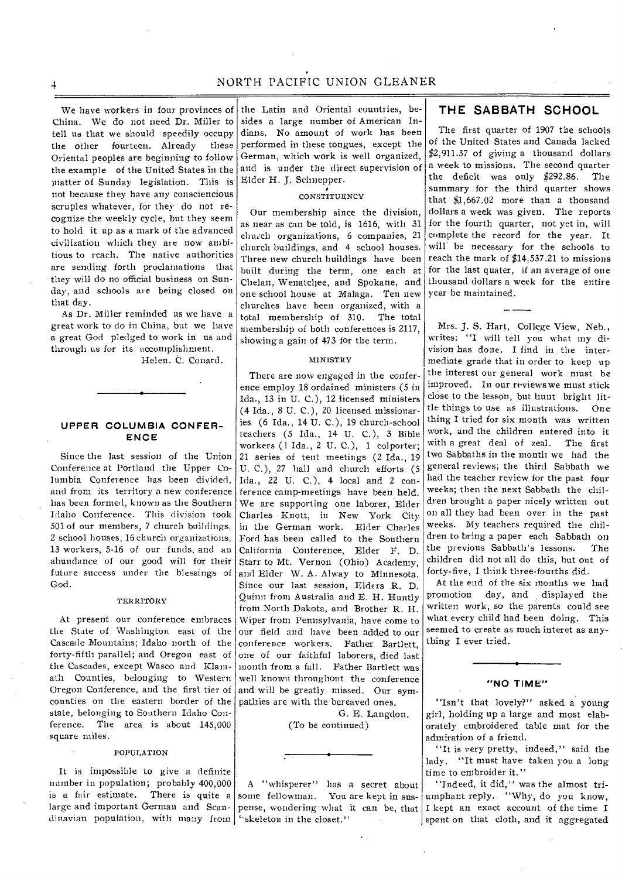We have workers in four provinces of China. We do not need Dr. Miller to tell us that we should speedily occupy the other fourteen. Already these Oriental peoples are beginning to follow the example of the United States in the matter of Sunday legislation. This is not because they have any consciencious scruples whatever, for they do not recognize the weekly cycle, but they seem to hold it up as a mark of the advanced civilization which they are now ambitious to reach. The native authorities are sending forth proclamations that they will do no official business on Sunday, and schools are being closed on that day.

As Dr. Miller reminded us we have a great work to do in China, but we have a great God pledged to work in us and through us for its accomplishment.

Helen. C. Conard.

## **UPPER COLUMBIA CONFER-ENCE**

Since the last session of the Union Conference at Portland the Upper Columbia Conference has been divided, and from its territory a new conference has been formed, known as the Southern Idaho Conference. This division took 501 of our members, 7 church buildings, 2 school houses, 16 church organizations, 13 workers, 5-16 of our funds, and an abundance of our good will for their future success under the blessings of God.

#### TERRITORY

At present our conference embraces the State of Washington east of the Cascade Mountains; Idaho north of the forty-fifth parallel; and Oregon east of the Cascades, except Wasco and Klamath Counties, belonging to Western Oregon Conference, and the first tier of counties on the eastern border of the state, belonging to Southern Idaho Conference. The area is about 145,000 square miles.

### POPULATION

It is impossible to give a definite number in population; probably 400,000 is a fair estimate. There is quite a large and important German and Scandinavian population, with many from  $\int_0^{\infty}$  skeleton in the closet."

the Latin and Oriental countries, besides a large number of American Indians. No amount of work has been performed in these tongues, except the German, which work is well organized, and is under the direct supervision of Elder H. J. Schnepper.

# CONSTITUENCY

Our membership since the division, as near as can be told, is 1616, with 31 church organizations, 6 companies, 21 church buildings, and 4 school houses. Three new church buildings have been built during the term, one each at Chelan, Wenatchee, and Spokane, and one school house at Malaga. Ten new churches have been organized, with a total membership of 310. The total membership of both conferences is 2117, showing a gain of 473 for the term.

### MINISTRY

There are now engaged in the conference employ 18 ordained ministers (5 in Ida., 13 in U. C.), 12 licensed ministers (4 Ida., 8 U. C.), 20 licensed missionaries (6 Ida., 14 U. C.), 19 church-school teachers (5 Ida., 14 U. C.), 3 Bible workers (1 Ida., 2 U. C.), 1 colporter; 21 series of tent meetings (2 Ida., 19 U. C.), 27 hall and church efforts (5 Ida., 22 U. C.), 4 local and 2 conference camp-meetings have been held. We are supporting one laborer, Elder Charles Knott, in New York City in the German work. Elder Charles Ford has been called to the Southern California Conference, Elder F. D. Starr to Mt. Vernon (Ohio) Academy, and Elder W. A. Alway to Minnesota. Since our last session, Elders R. D. Quinn from Australia and E. H. Huntly from North Dakota, and Brother R. H. Wiper from Pennsylvania, have come to our field and have been added to our conference workers. Father Bartlett, one of our faithful laborers, died last month from a fall. Father Bartlett was well known throughout the conference and will be greatly missed. Our sympathies are with the bereaved ones.

(To be continued)

G. E. Langdon.

A "whisperer" has a secret about some fellowman. You are kept in suspense, wondering what it can be, that

# **THE SABBATH SCHOOL**

The first quarter of 1907 the schools of the United States and Canada lacked \$2,911.37 of giving a thousand dollars a week to missions. The second quarter the deficit was only \$292.86. The summary for the third quarter shows that \$1,667.02 more than a thousand dollars a week was given. The reports for the fourth quarter, not yet in, will complete the record for the year. It will' be necessary for the schools to reach the mark of \$14,537.21 to missions for the last quater, if an average of one thousand dollars a week for the entire year be maintained.

Mrs. J. S. Hart, College View, Neb., writes: "I will tell you what my division has done. I find in the intermediate grade that in order to keep up the interest our general work must be improved. In our reviews we must stick close to the lesson, but hunt bright little things to use as illustrations. One thing I tried for six month was written work, and the children entered into it with a great deal of zeal. The first two Sabbaths in the month we had the general reviews; the third Sabbath we had the teacher review for the past four weeks; then the next Sabbath the children brought a paper nicely written out on all they had been over in the past weeks. My teachers required the children to bring a paper each Sabbath on the previous Sabbath's lessons. The children did not all do this, but out of forty-five, I think three-fourths did.

At the end of the six months we had promotion day, and displayed the written work, so the parents could see what every child had been doing. This seemed to create as much interet as anything I ever tried.

## **"NO TIME"**

"Isn't that lovely?" asked a young girl, holding up a large and most elaborately embroidered table mat for the admiration of a friend.

"It is very pretty, indeed," said the lady. "It must have taken you a long time to embroider it."

"Indeed, it did," was the almost triumphant reply. "Why, do you know, I kept an exact account of the time I spent on that cloth, and it aggregated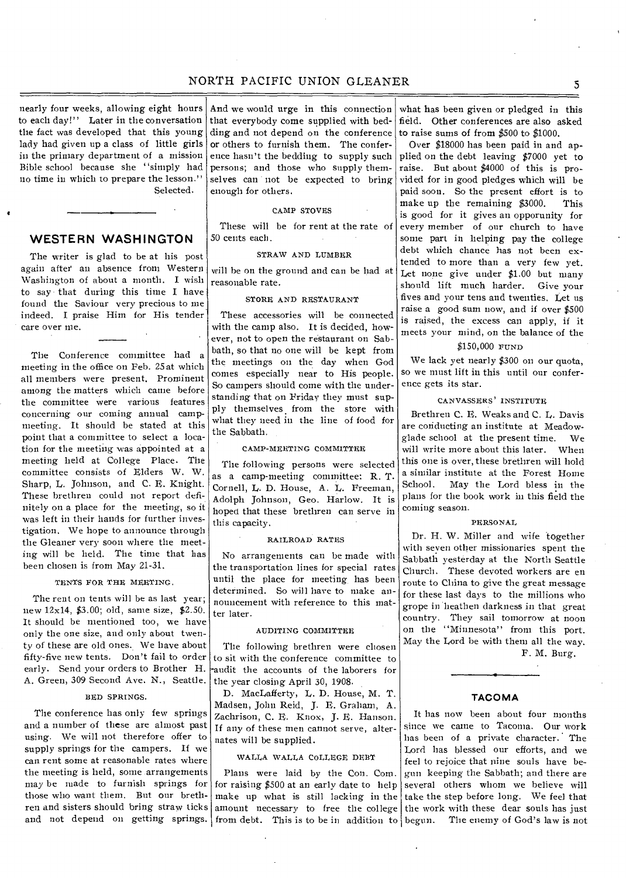nearly four weeks, allowing eight hours to each day!" Later in the conversation the fact was developed that this young lady had given up a class of little girls in the primary department of a mission Bible school because she "simply had no time in which to prepare the lesson." Selected.

# **WESTERN WASHINGTON**

The writer is glad to be at his post again after' an absence from Western Washington of about a month. I wish to say that during this time I have found the Saviour very precious to me indeed. I praise Him for His tender care over me.

The Conference committee had a meeting in the office on Feb. 25 at which all members were present. Prominent among the matters which came before the committee were various features concerning our coming annual campmeeting. It should be stated at this point that a committee to select a location for the meeting was appointed at a meeting held at College Place. The committee consists of Elders W. W. Sharp, L. Johnson, and C. E. Knight. These brethren could not report definitely on a place for the meeting, so it was left in their hands for further investigation. We hope to announce through the Gleaner very soon where the meeting will be held. The time that has been chosen is from May 21-31.

### TENTS FOR THE MEETING.

The rent on tents will be as last year; new 12x14, \$3.00; old, same size, \$2.50. It should be mentioned too, we have only the one size, and only about twenty of these are old ones. We have about fifty-five new tents. Don't fail to order early. Send your orders to Brother H. A. Green, 309 Second Ave. N., Seattle.

## BED SPRINGS.

The conference has only few springs and a number of these are almost past using. We will not therefore offer to supply springs for the campers. If we can rent some at reasonable rates where the meeting is held, some arrangements may be made to furnish springs for those who want them. But our brethren and sisters should bring straw ticks and not depend on getting springs.

And we would urge in this connection that everybody come supplied with bedding and not depend on the conference or others to furnish them. The conference hasn't the bedding to supply such persons; and those who supply themselves can not be expected to bring enough for others.

#### CAMP STOVES

These will be for rent at the rate of 50 cents each.

#### STRAW AND LUMBER

will be on the ground and can be had at reasonable rate.

## STORE AND RESTAURANT

These accessories will be connected with the camp also. It is decided, however, not to open the restaurant on Sabbath, so that no one will be kept from the meetings on the day when God comes especially near to His people. So campers should come with the understanding that on Friday they must supply themselves from the store with what they need in the line of food for the Sabbath.

## CAMP-MEETING COMMITTEE

The following persons were selected as a camp-meeting committee: R. T. Cornell, L. D. House, A. L. Freeman, Adolph Johnson, Geo. Harlow. It is hoped that these brethren can serve in this capacity.

## RAILROAD RATES

No arrangements can be made with the transportation lines for special rates until the place for meeting, has been determined. So will have to make announcement with reference to this matter later.

## AUDITING COMMITTEE

The following brethren were chosen to sit with the conference committee to -audit the accounts of the laborers for the year closing April 30, 1908.

D. MacLafferty, L. D. House, M. T. Madsen, John Reid, J. E. Graham, A. Zachrison, C. E. Knox, J. E. Hanson. If any of these men cannot serve, alternates will be supplied.

## WALLA WALLA COLLEGE DEBT

Plans were laid by the Con. Com. for raising \$500 at an early date to help from debt. This is to be in addition to begun. The enemy of God's law is not

what has been given or pledged in this field. Other conferences are also asked to raise sums of from \$500 to \$1000.

Over \$18000 has been paid in and applied on the debt leaving \$7000 yet to raise. But about \$4000 of this is provided for in good pledges which will be paid soon. So the present effort is to<br>make up the remaining \$3000. This make up the remaining \$3000. is good for it gives an opporunity for every member of our church to have some part in helping pay the college debt which chance has not been extended to more than a very few yet. Let none give under \$1.00 but many should lift much harder. Give your fives and your tens and twenties. Let us raise a good sum now, and if over \$500 is raised, the excess can apply, if it meets your mind, on the balance of the

## \$150,000 FUND

We lack yet nearly \$300 on our quota. so we must lift in this until our conference gets its star.

### CANVASSERS' INSTITUTE

Brethren C. R. Weaks and C. L. Davis are conducting an institute at Meadowglade school at the present time. We will write more about this later. When this one is over, these brethren will hold a similar institute at the Forest Home School. May the Lord bless in the plans for the book work in this field the coming season.

#### PERSONAL

Dr. H. W. Miller and wife together with seven other missionaries spent the Sabbath yesterday at the North Seattle Church. These devoted workers are en route to China to give the great message for these last days to the millions who grope in heathen darkness in that great country. They sail tomorrow at noon on the "Minnesota" from this port. May the Lord be with them all the way.

F. M. Burg.

#### **TACOMA**

make up what is still lacking in the take the step before long. We feel that amount necessary to free the college the work with these dear souls has just It has now been about four months since we came to Tacoma. Our work has been of a private character. The Lord has blessed our efforts, and we feel to rejoice that nine souls have begun keeping the Sabbath; and there are several others whom we believe will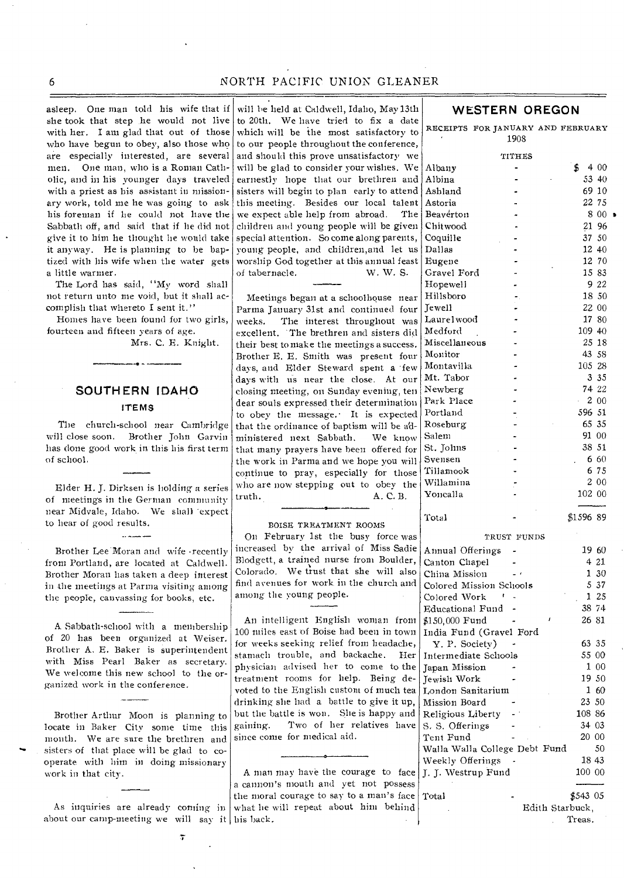asleep. One man told his wife that if she took that step he would not live with her. I am glad that out of those who have begun to obey, also those who are especially interested, are several men. One man, who is a Roman Catholic, and in his younger days traveled with a priest as his assistant in missionary work, told me he was going to ask his foreman if he could not have the Sabbath off, and said that if lie did not give it to him he thought he would take it anyway. He is planning to be baptized with his wife when the water gets a little warmer.

The Lord has said, "My word shall not return unto me void, but it shall accomplish that whereto I sent it."

Homes have been found for two girls, fourteen and fifteen years of age.

Mrs. C. E. Knight.

# **SOUTH ERN IDAHO ITEMS**

The church-school near Cambridge will close soon. Brother John Garvin has done good work in this his first term of school.

Elder H. J. Dirksen is holding a series of meetings in the German community near Midvale, Idaho. We shall 'expect to hear of good results.

and a company

Brother Lee Moran and wife •recently from Portland, are located at Caldwell, Brother Moran has taken a deep interest in the meetings at Parma visiting among the people, canvassing for books, etc.

A Sabbath-school with a membership of 20 has been organized at Weiser. Brother A. E. Baker is superintendent with Miss Pearl Baker as secretary. We welcome this new school to the organized work in the conference.

Brother Arthur Moon is planning to locate in Baker City some time this month. We are sure the brethren and sisters of that place will be glad to cooperate with him in doing missionary work in that city.

As inquiries are already coming in about our camp-meeting we will say it his back.

will be held at Caldwell, Idaho, May 13th to 20th. We have tried to fix a date which will be the most satisfactory to to our people throughout the conference, and should this prove unsatisfactory we will be glad to consider your wishes. We earnestly hope that our brethren and sisters will begin to plan early to attend this meeting. Besides our local talent we expect able help from abroad. The children and young people will be given special attention. So come along parents, young people, and children,and let us worship God together at this annual feast of tabernacle. W. W. S.

Meetings began at a schoolhouse near Parma January 31st and continued four weeks. The interest throughout was excellent. 'The brethren and sisters did their best to make the meetings a success. Brother E. E. Smith was present four days, and Elder Steward spent a few days with us near the close. At our closing meeting, on Sunday evening, ten dear souls expressed their determination to obey the message.• It is expected that the ordinance of baptism will be administered next Sabbath. We know that many prayers have been offered for the work in Parma and we hope you will continue to pray, especially for those who are now stepping out to obey the truth.  $A, C, B$ . A. C. B.

#### BOISE TREATMENT ROOMS

On February 1st the busy force was increased by the arrival of Miss Sadie Blodgett, a trained nurse from Boulder, Colorado, We trust that she will also find avenues for work in the church and among the young people.

An intelligent English woman from 100 miles east of Boise had been in town for weeks seeking relief from headache, stamach trouble, and backache. Her physician advised her to come to the treatment rooms for help. Being devoted to the English custom of much tea drinking she had a battle to give it up, but the battle is won. She is happy and gaining. Two of her relatives have since come for medical aid.

A man may have the courage to face a cannon's mouth and yet not possess the moral courage to say to a man's face what he will repeat about him behind

# 8 0 0 1 RECEIPTS FOR JANUARY AND FEBRUARY 1908 TITHES Albany -  $\qquad \qquad$   $\qquad \qquad$   $\qquad \qquad$  4 00 Albina - 53 40<br>Ashland - 69 10 Ashland Astoria 22 75 Beaverton Chitwood 21 96 Coquille **37 50** Dallas 12 40 Eugene 12 70 Gravel Ford - 15 83<br>
Hopewell - 9 22 Hopewell - 9 22<br>Hillsboro - 9 22<br>18 50 Hillsboro  $Jewell$  22 00 Laurel wood contract to the 17 80 Medford - 109 40 Miscellaneous - 25 18<br>Monitor - 43 58 Monitor Montavilla - 105 28 Mt. Tabor - 3 35 Newberg - 74 22 Park Place  $\qquad \qquad -200$ Portland - 596 51 Roseburg - 65 35<br>
Salem - 91 00 Salem St. Johns 38 51 Svensen - 6 60 Tillamook - 675 Willamina 2 00 Yoncalla 102 00 Total - \$1596 89 TRUST FUNDS Annual Offerings - 19 60 Canton Chapel - 4 21<br>
China Mission - 4 21<br>
1 30 China Mission Colored Mission Schools 5 37 Colored Work  $\sim$  1 25 Educational Fund - 38 74 \$150,000 Fund - 26 81 India Fund (Gravel Ford Y. P. Society) - 63 35 Intermediate Schools 55 00<br>
Iapan Mission - 1 00 Japan Mission - 1 00<br>
1 1 00 Tewish Work - 19 50 Jewish Work London Sanitarium 1 60<br>Mission Board - 23 50 Mission Board Religious Liberty - 108 86 S. S. Offerings - 34 03<br>
Tent Fund - 20 00 Tent Fund Walla Walla College Debt Fund 50 Weekly Offerings - 18 43<br>
1. T. Westrup Fund 100 00 J. J. Westrup Fund

Total **5543 05** Edith Starbuck,

Treas.

**WESTERN OREGON**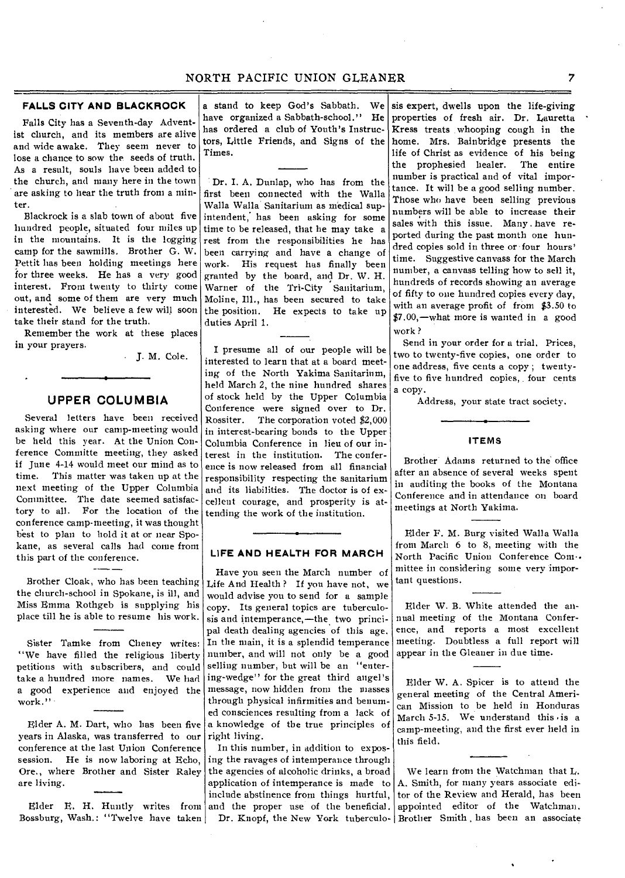# **FALLS CITY AND BLACKROCK**

Falls City has a Seventh-day Adventist church, and its members are alive and wide awake. They seem never to lose a chance to sow the seeds of truth. As a result, souls have been added to the church, and many here in the town are asking to hear the truth from a minter.

Blackrock is a slab town of about five hundred people, situated four miles up in the mountains. It is the logging camp for the sawmills. Brother G. W. Pettit has been holding meetings here for three weeks. He has a very good interest. From twenty to thirty come out, and some of them are very much interested. We believe a few will soon take their stand for the truth.

Remember the work at these places in your prayers.

J. M. Cole.

## **UPPER COLUMBIA**

Several letters have been received asking where our camp-meeting would be held this year. At the Union Conference Committe meeting, they asked if June 4-14 would meet our mind as to time. This matter was taken up at the next meeting of the Upper Columbia Committee. The date seemed satisfactory to all. For the location of the conference camp-meeting, it was thought best to plan to hold it at or near Spokane, as several calls had come from this part of the conference.

Brother Cloak, who has been teaching the church-school in Spokane, is ill, and Miss Emma Rothgeb is supplying his place till he is able to resume his work.

Sister Tamke from Cheney writes: "We have filled the religious liberty petitions with subscribers, and could take a hundred more names. We had a good experience and enjoyed the work."

Elder A. M. Dart, who has been five years in Alaska, was transferred to our conference at the last Union Conference session. He is now laboring at Echo, Ore., where Brother and Sister Raley are living.

Bossburg, Wash.: "Twelve have taken Dr. Knopf, the New York tuberculo-

a stand to keep God's Sabbath. We have organized a Sabbath-school." He has ordered a club of Youth's Instructors, Little Friends, and Signs of the Times.

Dr. I. A. Dunlap, who has from the first been connected with the Walla Walla Walla Sanitarium as medical supintendent, has been asking for some time to be released, that he may take a rest from the responsibilities he has been carrying and have a change of work. His request has finally been granted by the hoard, and Dr. W. H. Warner of the Tri-City Sanitarium, Moline, Ill., has been secured to take the position. He expects to take up duties April 1.

I presume all of our people will be interested to learn that at a board meeting of the North Yakima Sanitarium, held March 2, the nine hundred shares of stock held by the Upper Columbia Conference were signed over to Dr. Rossiter. The corporation voted \$2,000 in interest-bearing bonds to the Upper Columbia Conference in lieu of our interest in the institution. The conference is now released from all financial responsibility respecting the sanitarium and its liabilities. The doctor is of excellent courage, and prosperity is attending the work of the institution.

#### **LIFE AND HEALTH FOR MARCH**

Have you seen the March number of Life And Health ? If you have not, we would advise you to send for a sample copy. Its general topics are tuberculosis and intemperance,—the two principal death dealing agencies of this age. In the main, it is a splendid temperance number, and will not only be a good selling number, but will be an "entering-wedge" for the great third angel's message, now hidden from the masses through physical infirmities and benumed consciences resulting from a lack of a knowledge of the true principles of right living.

In this number, in addition to exposing the ravages of intemperance through the agencies of alcoholic drinks, a broad application of intemperance is made to

include abstinence from things hurtful, Elder E. H. Huntly writes from and the proper use of the beneficial.

sis expert, dwells upon the life-giving properties of fresh air. Dr. Lauretta Kress treats whooping cough in the home. Mrs. Bainbridge presents the life of Christ as evidence of his being the prophesied healer. The entire number is practical and of vital importance. It will be a good selling number. Those who have been selling previous numbers will be able to increase their sales with this issue. Many have reported during the past month one hundred copies sold in three or four hours' time. Suggestive canvass for the March number, a canvass telling how to sell it, hundreds of records showing an average of fifty to one hundred copies every day, with an average profit of from \$3.50 to \$7.00,—what more is wanted in a good work ?

Send in your order for a trial. Prices, two to twenty-five copies, one order to one address, five cents a copy ; twentyfive to five hundred copies, four cents a copy.

Address, your state tract society.

#### **ITEMS**

Brother Adams returned to the office after an absence of several weeks spent in auditing the books of the Montana Conference and in attendance on board meetings at North Yakima.

Elder F. M. Burg visited Walla Walla from March 6 to 8, meeting with the North Pacific Union Conference Com.. mittee in considering some very important questions.

Elder W. B. White attended the annual meeting of the Montana Conference, and reports a most excellent meeting. Doubtless a full report will appear in the Gleaner in due time.

Elder W. A. Spicer is to attend the general meeting of the Central American Mission to be held in Honduras March 5-15. We understand this is a camp-meeting, and the first ever held in this field.

We learn from the Watchman that L. A. Smith, for many years associate editor of the Review and Herald, has been appointed editor of the Watchman. Brother Smith has been an associate